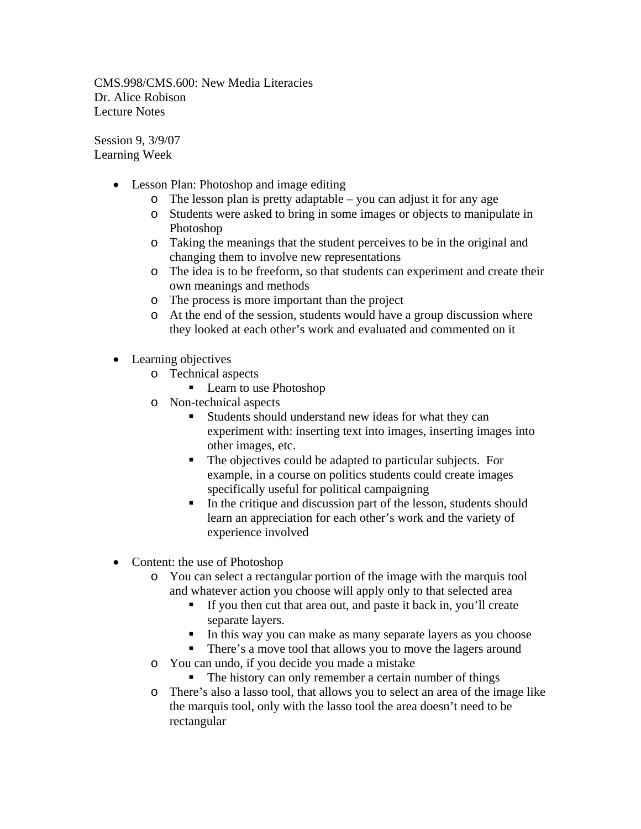CMS.998/CMS.600: New Media Literacies Dr. Alice Robison Lecture Notes

Session 9, 3/9/07 Learning Week

- Lesson Plan: Photoshop and image editing
	- o The lesson plan is pretty adaptable you can adjust it for any age
	- o Students were asked to bring in some images or objects to manipulate in Photoshop
	- o Taking the meanings that the student perceives to be in the original and changing them to involve new representations
	- o The idea is to be freeform, so that students can experiment and create their own meanings and methods
	- o The process is more important than the project
	- o At the end of the session, students would have a group discussion where they looked at each other's work and evaluated and commented on it
- Learning objectives
	- o Technical aspects
		- Learn to use Photoshop
	- o Non-technical aspects
		- Students should understand new ideas for what they can experiment with: inserting text into images, inserting images into other images, etc.
		- The objectives could be adapted to particular subjects. For example, in a course on politics students could create images specifically useful for political campaigning
		- $\blacksquare$  In the critique and discussion part of the lesson, students should learn an appreciation for each other's work and the variety of experience involved
- Content: the use of Photoshop
	- o You can select a rectangular portion of the image with the marquis tool and whatever action you choose will apply only to that selected area
		- If you then cut that area out, and paste it back in, you'll create separate layers.
		- In this way you can make as many separate layers as you choose
		- There's a move tool that allows you to move the lagers around
	- o You can undo, if you decide you made a mistake
		- The history can only remember a certain number of things
	- o There's also a lasso tool, that allows you to select an area of the image like the marquis tool, only with the lasso tool the area doesn't need to be rectangular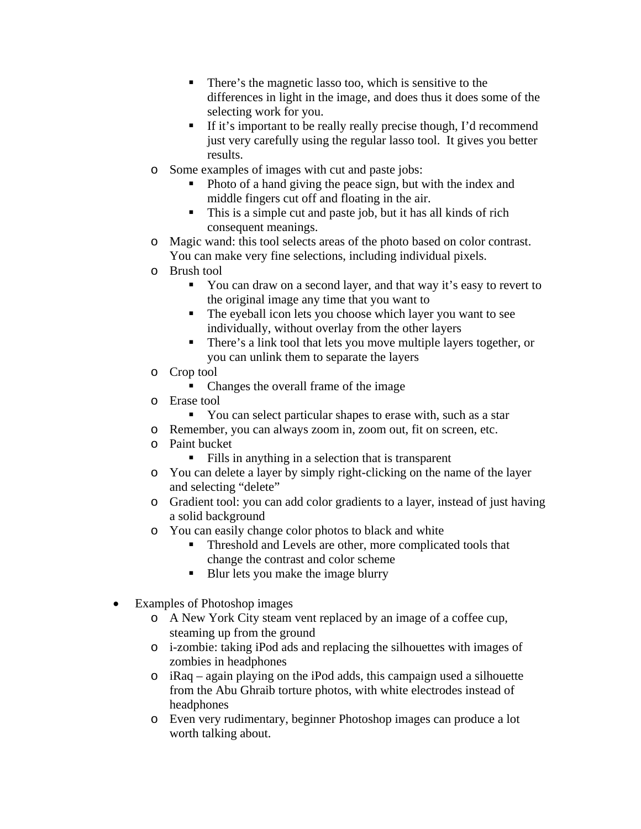- There's the magnetic lasso too, which is sensitive to the differences in light in the image, and does thus it does some of the selecting work for you.
- If it's important to be really really precise though, I'd recommend just very carefully using the regular lasso tool. It gives you better results.
- o Some examples of images with cut and paste jobs:
	- Photo of a hand giving the peace sign, but with the index and middle fingers cut off and floating in the air.
	- This is a simple cut and paste job, but it has all kinds of rich consequent meanings.
- o Magic wand: this tool selects areas of the photo based on color contrast. You can make very fine selections, including individual pixels.
- o Brush tool
	- You can draw on a second layer, and that way it's easy to revert to the original image any time that you want to
	- The eyeball icon lets you choose which layer you want to see individually, without overlay from the other layers
	- There's a link tool that lets you move multiple layers together, or you can unlink them to separate the layers
- o Crop tool
	- Changes the overall frame of the image
- o Erase tool
	- You can select particular shapes to erase with, such as a star
- o Remember, you can always zoom in, zoom out, fit on screen, etc.
- o Paint bucket
	- Fills in anything in a selection that is transparent
- o You can delete a layer by simply right-clicking on the name of the layer and selecting "delete"
- o Gradient tool: you can add color gradients to a layer, instead of just having a solid background
- o You can easily change color photos to black and white
	- Threshold and Levels are other, more complicated tools that change the contrast and color scheme
	- Blur lets you make the image blurry
- Examples of Photoshop images
	- o A New York City steam vent replaced by an image of a coffee cup, steaming up from the ground
	- o i-zombie: taking iPod ads and replacing the silhouettes with images of zombies in headphones
	- o iRaq again playing on the iPod adds, this campaign used a silhouette from the Abu Ghraib torture photos, with white electrodes instead of headphones
	- o Even very rudimentary, beginner Photoshop images can produce a lot worth talking about.